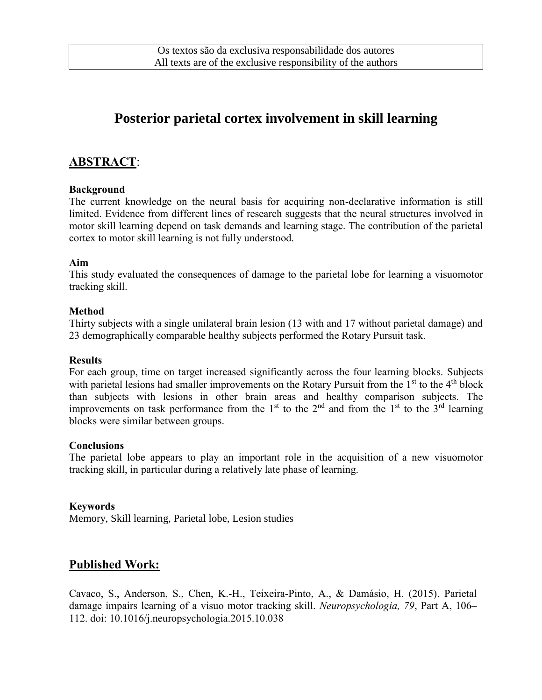# **Posterior parietal cortex involvement in skill learning**

# **ABSTRACT**:

#### **Background**

The current knowledge on the neural basis for acquiring non-declarative information is still limited. Evidence from different lines of research suggests that the neural structures involved in motor skill learning depend on task demands and learning stage. The contribution of the parietal cortex to motor skill learning is not fully understood.

#### **Aim**

This study evaluated the consequences of damage to the parietal lobe for learning a visuomotor tracking skill.

#### **Method**

Thirty subjects with a single unilateral brain lesion (13 with and 17 without parietal damage) and 23 demographically comparable healthy subjects performed the Rotary Pursuit task.

#### **Results**

For each group, time on target increased significantly across the four learning blocks. Subjects with parietal lesions had smaller improvements on the Rotary Pursuit from the  $1<sup>st</sup>$  to the  $4<sup>th</sup>$  block than subjects with lesions in other brain areas and healthy comparison subjects. The improvements on task performance from the 1<sup>st</sup> to the 2<sup>nd</sup> and from the 1<sup>st</sup> to the 3<sup>rd</sup> learning blocks were similar between groups.

#### **Conclusions**

The parietal lobe appears to play an important role in the acquisition of a new visuomotor tracking skill, in particular during a relatively late phase of learning.

#### **Keywords**

Memory, Skill learning, Parietal lobe, Lesion studies

## **Published Work:**

Cavaco, S., Anderson, S., Chen, K.-H., Teixeira-Pinto, A., & Damásio, H. (2015). Parietal damage impairs learning of a visuo motor tracking skill. *Neuropsychologia, 79*, Part A, 106– 112. doi: 10.1016/j.neuropsychologia.2015.10.038